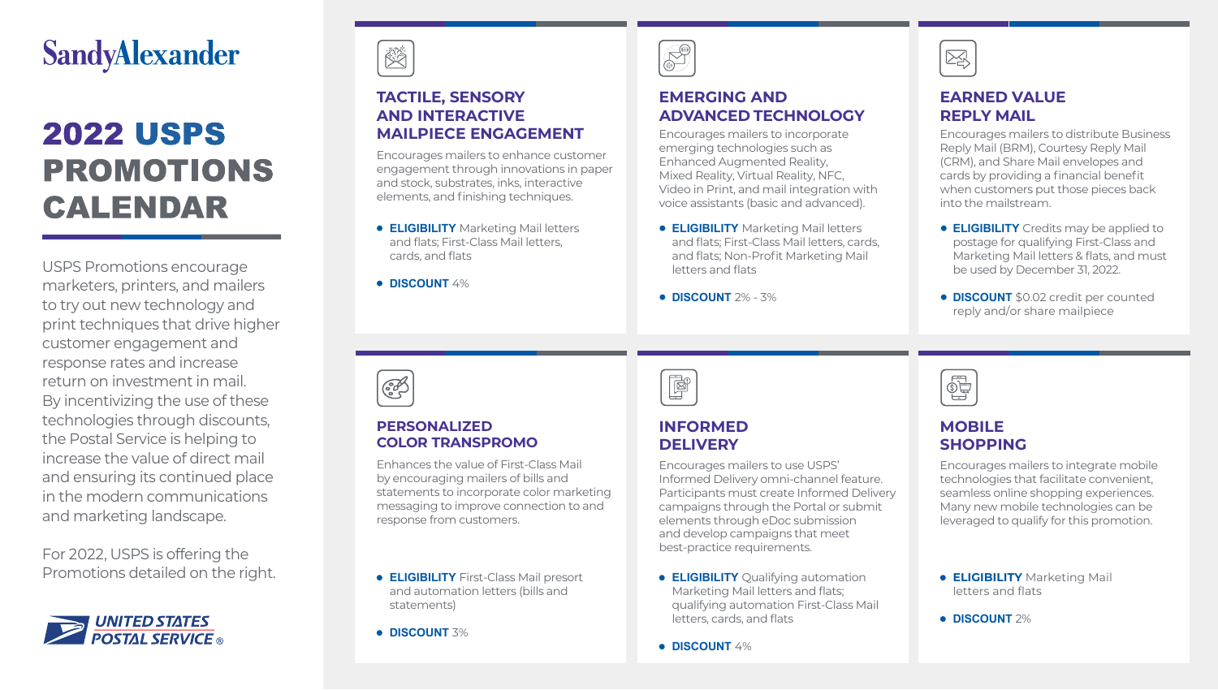## **SandyAlexander**

# **2022 USPS PROMOTIONS CALENDAR**

marketers, printers, and mailers

to try out new technology and USPS Promotions encourage marketers, printers, and mailers to try out new technology and print techniques that drive higher customer engagement and response rates and increase return on investment in mail. By incentivizing the use of these technologies through discounts, the Postal Service is helping to increase the value of direct mail in the modern communications and marketing landscape. and ensuring its continued place

For 2022, USPS is offering the Promotions detailed on the right.



### **TACTILE, SENSORY AND INTERACTIVE MAILPIECE ENGAGEMENT**

Encourages mailers to enhance customer engagement through innovations in paper **AND INTERACTIVE** and stock, substrates, inks, interactive elements, and finishing techniques. Encourages mailers to enhance customer

- **ELIGIBILITY** Marketing Mail letters **CERGIBILITY** Marketing Mail letters, and flats; First-Class Mail letters, and nats, must class mannetters,<br>cards, and flats
- **DISCOUNT** 4%

### **EMERGING AND ADVANCED TECHNOLOGY**

Encourages mailers to incorporate emerging technologies such as Enhanced Augmented Reality, Ennanced Augmented Reality,<br>Mixed Reality, Virtual Reality, NFC, Video in Print, and mail integration with voice assistants (basic and advanced).

- **ELIGIBILITY** Marketing Mail letters and flats; First-Class Mail letters, cards, and flats; Non-Profit Marketing Mail letters and flats
- **DISCOUNT** 2% 3%

**DISCOUNT** 2% - 3%

# 図

### **EARNED VALUE REPLY MAIL**

Encourages mailers to distribute Business Reply Mail (BRM), Courtesy Reply Mail (CRM), and Share Mail envelopes and (CRM), and Share Mall envelopes and<br>cards by providing a financial benefit when customers put those pieces back into the mailstream.

- **ELIGIBILITY** Credits may be applied to postage for qualifying First-Class and postage for qualifying First-Class and<br>Marketing Mail letters & flats, and must be used by December 31, 2022. **ELIGIBILITY** Credits may be applied to
- **DISCOUNT** \$0.02 credit per counted reply and/or share mailpiece be used by December 31, 2022.

**DISCOUNT** \$0.02 credit per counted



#### **PERSONALIZED COLOR TRANSPROMO**

Enhances the value of First-Class Mail by encouraging mailers of bills and statements to incorporate color marketing messaging to improve connection to and response from customers. by encouraging mailers of bills and

- **ELIGIBILITY** First-Class Mail presort and automation letters (bills and statements)
- **DISCOUNT** 3%

|--|

### **INFORMED DELIVERY**

Encourages mailers to use USPS' Informed Delivery omni-channel feature. Participants must create Informed Delivery campaigns through the Portal or submit elements through eDoc submission and develop campaigns that meet best-practice requirements. campaigns through the Portal or submit

- **ELIGIBILITY** Qualifying automation and the campaigns and flats;<br>Marketing Mail letters and flats; markeding mail becord and hald, letters, cards, and flats
- **DISCOUNT** 4%



### **MOBILE SHOPPING**

Encourages mailers to integrate mobile technologies that facilitate convenient, seamless online shopping experiences.<br>Mary revy realists to healesies are be-Many new mobile technologies can be leveraged to qualify for this promotion. technologies that facilitate convenient,

- **ELIGIBILITY** Marketing Mail letters and flats
- **DISCOUNT 2%**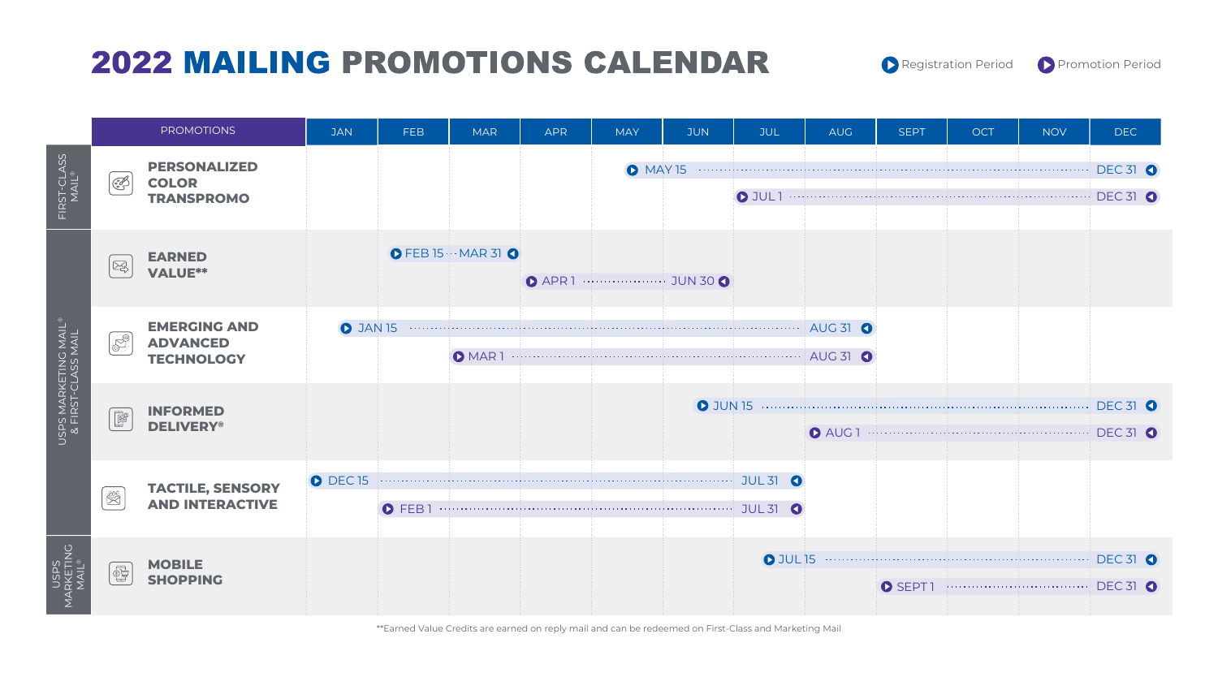# **2022 MAILING PROMOTIONS CALENDAR**





\*\*Earned Value Credits are earned on reply mail and can be redeemed on First-Class and Marketing Mail